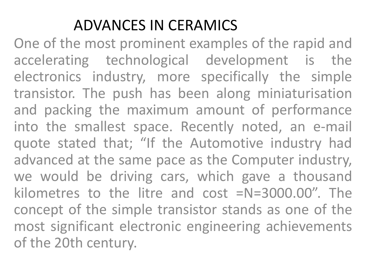## ADVANCES IN CERAMICS

One of the most prominent examples of the rapid and accelerating technological development is the electronics industry, more specifically the simple transistor. The push has been along miniaturisation and packing the maximum amount of performance into the smallest space. Recently noted, an e-mail quote stated that; "If the Automotive industry had advanced at the same pace as the Computer industry, we would be driving cars, which gave a thousand kilometres to the litre and cost =N=3000.00". The concept of the simple transistor stands as one of the most significant electronic engineering achievements of the 20th century.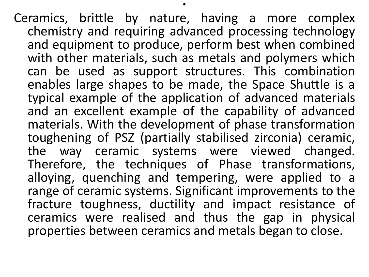Ceramics, brittle by nature, having a more complex chemistry and requiring advanced processing technology and equipment to produce, perform best when combined with other materials, such as metals and polymers which can be used as support structures. This combination enables large shapes to be made, the Space Shuttle is a typical example of the application of advanced materials and an excellent example of the capability of advanced materials. With the development of phase transformation toughening of PSZ (partially stabilised zirconia) ceramic, the way ceramic systems were viewed changed. Therefore, the techniques of Phase transformations, alloying, quenching and tempering, were applied to a range of ceramic systems. Significant improvements to the fracture toughness, ductility and impact resistance of ceramics were realised and thus the gap in physical properties between ceramics and metals began to close.

.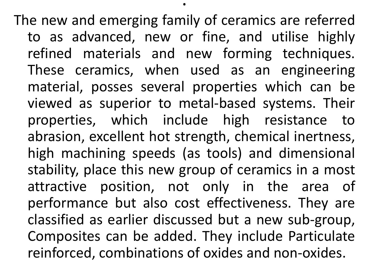The new and emerging family of ceramics are referred to as advanced, new or fine, and utilise highly refined materials and new forming techniques. These ceramics, when used as an engineering material, posses several properties which can be viewed as superior to metal-based systems. Their properties, which include high resistance to abrasion, excellent hot strength, chemical inertness, high machining speeds (as tools) and dimensional stability, place this new group of ceramics in a most attractive position, not only in the area of performance but also cost effectiveness. They are classified as earlier discussed but a new sub-group, Composites can be added. They include Particulate reinforced, combinations of oxides and non-oxides.

.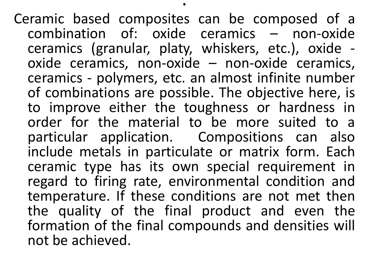Ceramic based composites can be composed of a combination of: oxide ceramics – non-oxide ceramics (granular, platy, whiskers, etc.), oxide oxide ceramics, non-oxide – non-oxide ceramics, ceramics - polymers, etc. an almost infinite number of combinations are possible. The objective here, is to improve either the toughness or hardness in order for the material to be more suited to a particular application. Compositions can also include metals in particulate or matrix form. Each ceramic type has its own special requirement in regard to firing rate, environmental condition and temperature. If these conditions are not met then the quality of the final product and even the formation of the final compounds and densities will not be achieved.

.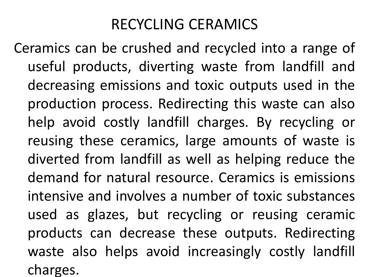## RECYCLING CERAMICS

Ceramics can be crushed and recycled into a range of useful products, diverting waste from landfill and decreasing emissions and toxic outputs used in the production process. Redirecting this waste can also help avoid costly landfill charges. By recycling or reusing these ceramics, large amounts of waste is diverted from landfill as well as helping reduce the demand for natural resource. Ceramics is emissions intensive and involves a number of toxic substances used as glazes, but recycling or reusing ceramic products can decrease these outputs. Redirecting waste also helps avoid increasingly costly landfill charges.